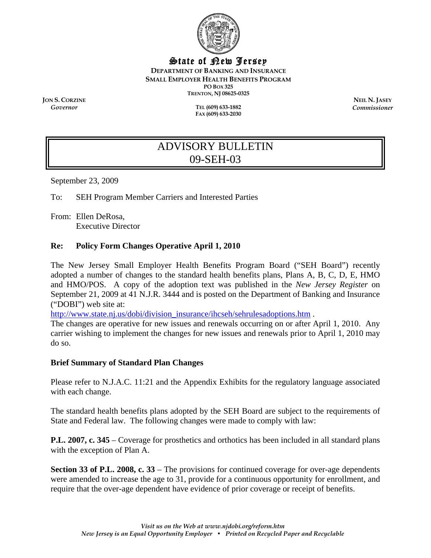

# State of New Jersey

**DEPARTMENT OF BANKING AND INSURANCE SMALL EMPLOYER HEALTH BENEFITS PROGRAM PO BOX 325** 

**TRENTON, NJ 08625-0325** 

**ION S. CORZINE NEIL N. JASEY** 

*Governor* **TEL (609) 633-1882 FAX (609) 633-2030**  *Commissioner* 

# ADVISORY BULLETIN 09-SEH-03

September 23, 2009

To: SEH Program Member Carriers and Interested Parties

From: Ellen DeRosa, Executive Director

### **Re: Policy Form Changes Operative April 1, 2010**

The New Jersey Small Employer Health Benefits Program Board ("SEH Board") recently adopted a number of changes to the standard health benefits plans, Plans A, B, C, D, E, HMO and HMO/POS. A copy of the adoption text was published in the *New Jersey Register* on September 21, 2009 at 41 N.J.R. 3444 and is posted on the Department of Banking and Insurance ("DOBI") web site at:

http://www.state.nj.us/dobi/division\_insurance/ihcseh/sehrulesadoptions.htm .

The changes are operative for new issues and renewals occurring on or after April 1, 2010. Any carrier wishing to implement the changes for new issues and renewals prior to April 1, 2010 may do so.

#### **Brief Summary of Standard Plan Changes**

Please refer to N.J.A.C. 11:21 and the Appendix Exhibits for the regulatory language associated with each change.

The standard health benefits plans adopted by the SEH Board are subject to the requirements of State and Federal law. The following changes were made to comply with law:

**P.L. 2007, c. 345** – Coverage for prosthetics and orthotics has been included in all standard plans with the exception of Plan A.

**Section 33 of P.L. 2008, c. 33** – The provisions for continued coverage for over-age dependents were amended to increase the age to 31, provide for a continuous opportunity for enrollment, and require that the over-age dependent have evidence of prior coverage or receipt of benefits.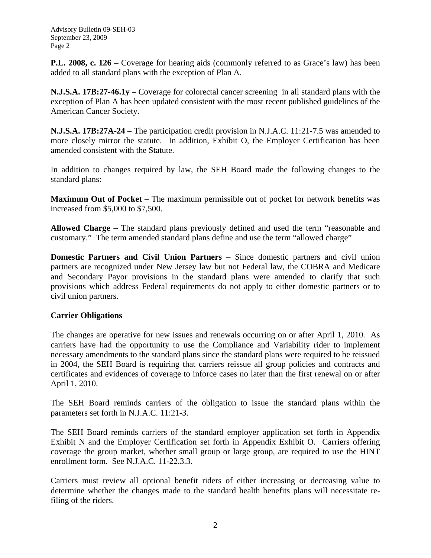Advisory Bulletin 09-SEH-03 September 23, 2009 Page 2

**P.L. 2008, c. 126** – Coverage for hearing aids (commonly referred to as Grace's law) has been added to all standard plans with the exception of Plan A.

**N.J.S.A. 17B:27-46.1y** – Coverage for colorectal cancer screening in all standard plans with the exception of Plan A has been updated consistent with the most recent published guidelines of the American Cancer Society.

**N.J.S.A. 17B:27A-24** – The participation credit provision in N.J.A.C. 11:21-7.5 was amended to more closely mirror the statute. In addition, Exhibit O, the Employer Certification has been amended consistent with the Statute.

In addition to changes required by law, the SEH Board made the following changes to the standard plans:

**Maximum Out of Pocket** – The maximum permissible out of pocket for network benefits was increased from \$5,000 to \$7,500.

**Allowed Charge –** The standard plans previously defined and used the term "reasonable and customary." The term amended standard plans define and use the term "allowed charge"

**Domestic Partners and Civil Union Partners** – Since domestic partners and civil union partners are recognized under New Jersey law but not Federal law, the COBRA and Medicare and Secondary Payor provisions in the standard plans were amended to clarify that such provisions which address Federal requirements do not apply to either domestic partners or to civil union partners.

# **Carrier Obligations**

The changes are operative for new issues and renewals occurring on or after April 1, 2010. As carriers have had the opportunity to use the Compliance and Variability rider to implement necessary amendments to the standard plans since the standard plans were required to be reissued in 2004, the SEH Board is requiring that carriers reissue all group policies and contracts and certificates and evidences of coverage to inforce cases no later than the first renewal on or after April 1, 2010.

The SEH Board reminds carriers of the obligation to issue the standard plans within the parameters set forth in N.J.A.C. 11:21-3.

The SEH Board reminds carriers of the standard employer application set forth in Appendix Exhibit N and the Employer Certification set forth in Appendix Exhibit O. Carriers offering coverage the group market, whether small group or large group, are required to use the HINT enrollment form. See N.J.A.C. 11-22.3.3.

Carriers must review all optional benefit riders of either increasing or decreasing value to determine whether the changes made to the standard health benefits plans will necessitate refiling of the riders.